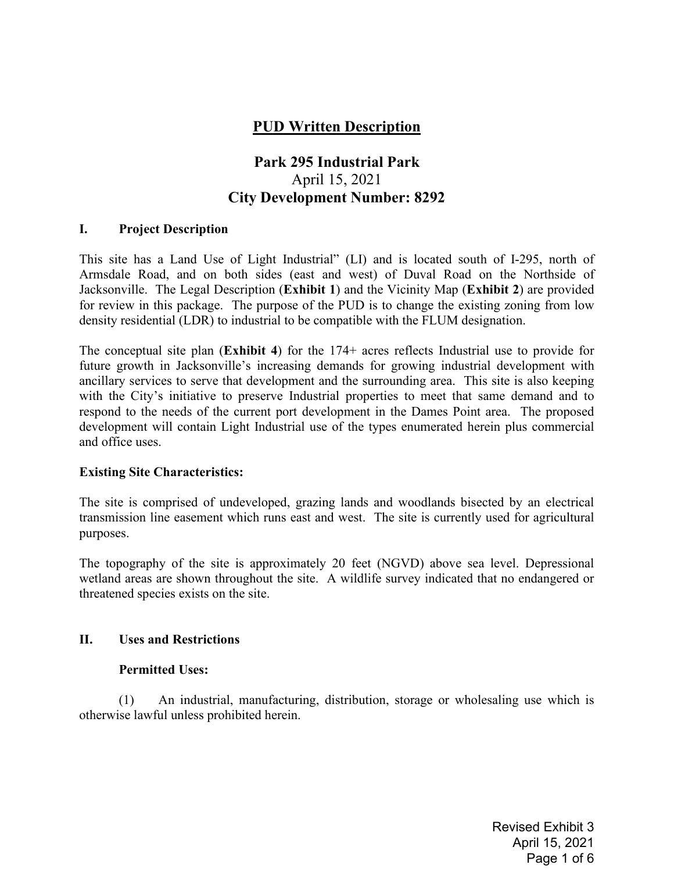# **PUD Written Description**

# **Park 295 Industrial Park**  April 15, 2021 **City Development Number: 8292**

#### **I. Project Description**

This site has a Land Use of Light Industrial" (LI) and is located south of I-295, north of Armsdale Road, and on both sides (east and west) of Duval Road on the Northside of Jacksonville. The Legal Description (**Exhibit 1**) and the Vicinity Map (**Exhibit 2**) are provided for review in this package. The purpose of the PUD is to change the existing zoning from low density residential (LDR) to industrial to be compatible with the FLUM designation.

The conceptual site plan (**Exhibit 4**) for the 174+ acres reflects Industrial use to provide for future growth in Jacksonville's increasing demands for growing industrial development with ancillary services to serve that development and the surrounding area. This site is also keeping with the City's initiative to preserve Industrial properties to meet that same demand and to respond to the needs of the current port development in the Dames Point area. The proposed development will contain Light Industrial use of the types enumerated herein plus commercial and office uses.

#### **Existing Site Characteristics:**

The site is comprised of undeveloped, grazing lands and woodlands bisected by an electrical transmission line easement which runs east and west. The site is currently used for agricultural purposes.

The topography of the site is approximately 20 feet (NGVD) above sea level. Depressional wetland areas are shown throughout the site. A wildlife survey indicated that no endangered or threatened species exists on the site.

#### **II. Uses and Restrictions**

#### **Permitted Uses:**

(1) An industrial, manufacturing, distribution, storage or wholesaling use which is otherwise lawful unless prohibited herein.

> Revised Exhibit 3 April 15, 2021 Page 1 of 6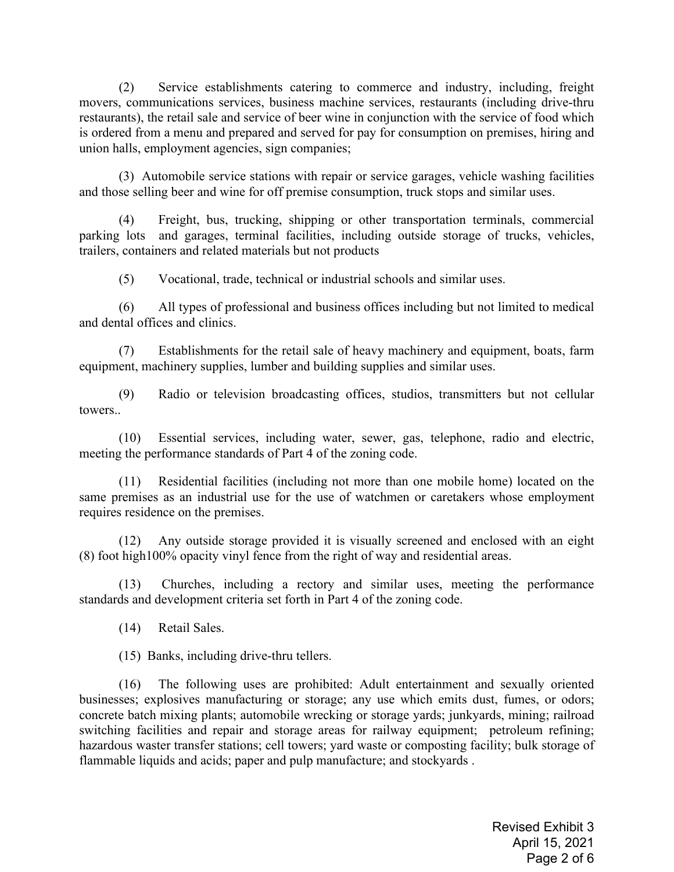(2) Service establishments catering to commerce and industry, including, freight movers, communications services, business machine services, restaurants (including drive-thru restaurants), the retail sale and service of beer wine in conjunction with the service of food which is ordered from a menu and prepared and served for pay for consumption on premises, hiring and union halls, employment agencies, sign companies;

(3) Automobile service stations with repair or service garages, vehicle washing facilities and those selling beer and wine for off premise consumption, truck stops and similar uses.

(4) Freight, bus, trucking, shipping or other transportation terminals, commercial parking lots and garages, terminal facilities, including outside storage of trucks, vehicles, trailers, containers and related materials but not products

(5) Vocational, trade, technical or industrial schools and similar uses.

(6) All types of professional and business offices including but not limited to medical and dental offices and clinics.

(7) Establishments for the retail sale of heavy machinery and equipment, boats, farm equipment, machinery supplies, lumber and building supplies and similar uses.

(9) Radio or television broadcasting offices, studios, transmitters but not cellular towers..

(10) Essential services, including water, sewer, gas, telephone, radio and electric, meeting the performance standards of Part 4 of the zoning code.

(11) Residential facilities (including not more than one mobile home) located on the same premises as an industrial use for the use of watchmen or caretakers whose employment requires residence on the premises.

(12) Any outside storage provided it is visually screened and enclosed with an eight (8) foot high100% opacity vinyl fence from the right of way and residential areas.

(13) Churches, including a rectory and similar uses, meeting the performance standards and development criteria set forth in Part 4 of the zoning code.

(14) Retail Sales.

(15) Banks, including drive-thru tellers.

(16) The following uses are prohibited: Adult entertainment and sexually oriented businesses; explosives manufacturing or storage; any use which emits dust, fumes, or odors; concrete batch mixing plants; automobile wrecking or storage yards; junkyards, mining; railroad switching facilities and repair and storage areas for railway equipment; petroleum refining; hazardous waster transfer stations; cell towers; yard waste or composting facility; bulk storage of flammable liquids and acids; paper and pulp manufacture; and stockyards .

> Revised Exhibit 3 April 15, 2021 Page 2 of 6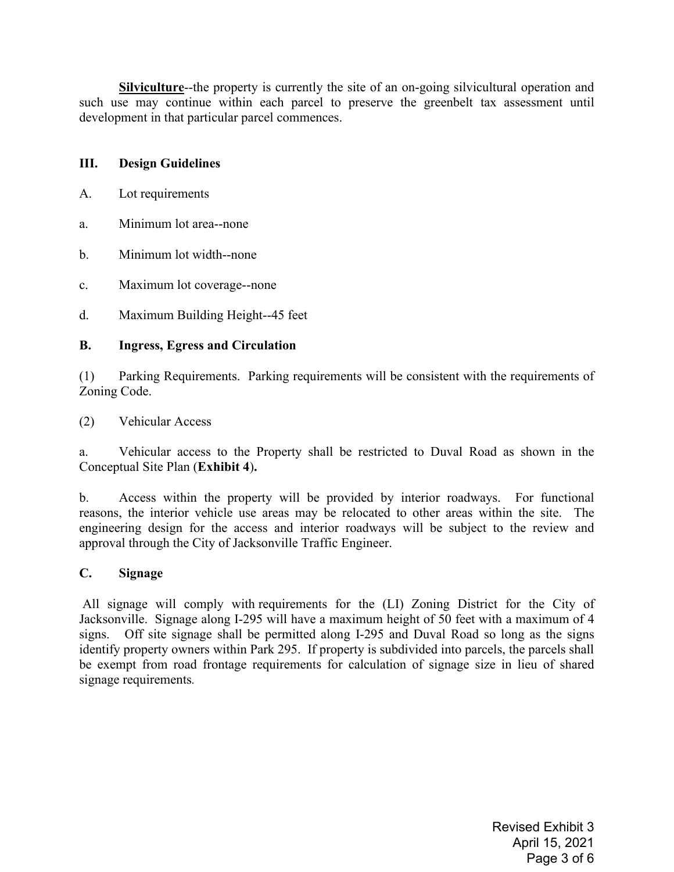**Silviculture**--the property is currently the site of an on-going silvicultural operation and such use may continue within each parcel to preserve the greenbelt tax assessment until development in that particular parcel commences.

### **III. Design Guidelines**

- A. Lot requirements
- a. Minimum lot area--none
- b. Minimum lot width--none
- c. Maximum lot coverage--none
- d. Maximum Building Height--45 feet

### **B. Ingress, Egress and Circulation**

(1) Parking Requirements. Parking requirements will be consistent with the requirements of Zoning Code.

(2) Vehicular Access

a. Vehicular access to the Property shall be restricted to Duval Road as shown in the Conceptual Site Plan (**Exhibit 4**)**.**

b. Access within the property will be provided by interior roadways. For functional reasons, the interior vehicle use areas may be relocated to other areas within the site. The engineering design for the access and interior roadways will be subject to the review and approval through the City of Jacksonville Traffic Engineer.

### **C. Signage**

All signage will comply with requirements for the (LI) Zoning District for the City of Jacksonville. Signage along I-295 will have a maximum height of 50 feet with a maximum of 4 signs. Off site signage shall be permitted along I-295 and Duval Road so long as the signs identify property owners within Park 295. If property is subdivided into parcels, the parcels shall be exempt from road frontage requirements for calculation of signage size in lieu of shared signage requirements*.*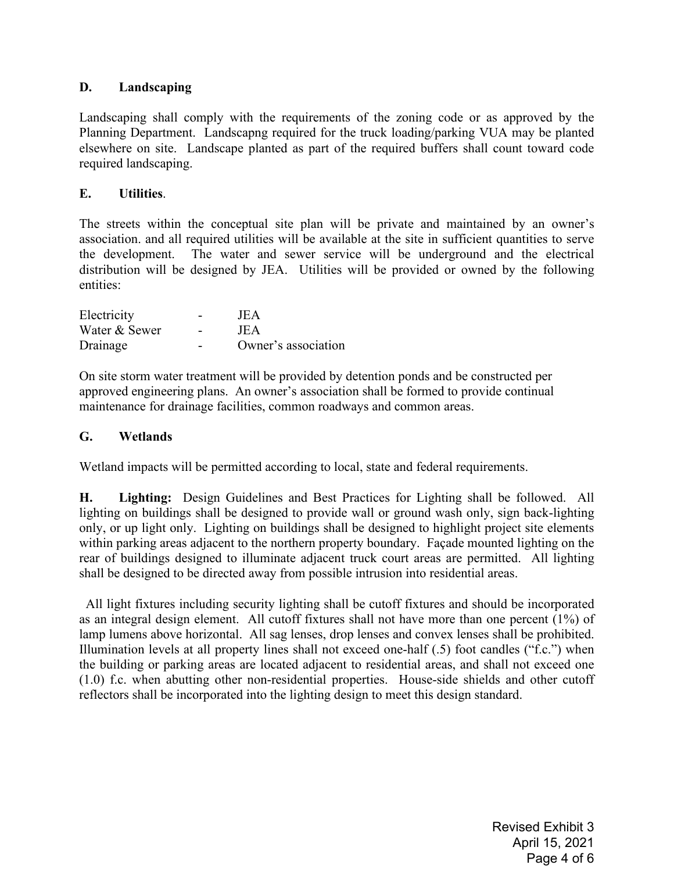### **D. Landscaping**

Landscaping shall comply with the requirements of the zoning code or as approved by the Planning Department. Landscapng required for the truck loading/parking VUA may be planted elsewhere on site. Landscape planted as part of the required buffers shall count toward code required landscaping.

### **E. Utilities**.

The streets within the conceptual site plan will be private and maintained by an owner's association. and all required utilities will be available at the site in sufficient quantities to serve the development. The water and sewer service will be underground and the electrical distribution will be designed by JEA. Utilities will be provided or owned by the following entities:

| Electricity   | JEA                 |
|---------------|---------------------|
| Water & Sewer | JEA                 |
| Drainage      | Owner's association |

On site storm water treatment will be provided by detention ponds and be constructed per approved engineering plans. An owner's association shall be formed to provide continual maintenance for drainage facilities, common roadways and common areas.

### **G. Wetlands**

Wetland impacts will be permitted according to local, state and federal requirements.

**H. Lighting:** Design Guidelines and Best Practices for Lighting shall be followed. All lighting on buildings shall be designed to provide wall or ground wash only, sign back-lighting only, or up light only. Lighting on buildings shall be designed to highlight project site elements within parking areas adjacent to the northern property boundary. Façade mounted lighting on the rear of buildings designed to illuminate adjacent truck court areas are permitted. All lighting shall be designed to be directed away from possible intrusion into residential areas.

 All light fixtures including security lighting shall be cutoff fixtures and should be incorporated as an integral design element. All cutoff fixtures shall not have more than one percent (1%) of lamp lumens above horizontal. All sag lenses, drop lenses and convex lenses shall be prohibited. Illumination levels at all property lines shall not exceed one-half (.5) foot candles ("f.c.") when the building or parking areas are located adjacent to residential areas, and shall not exceed one (1.0) f.c. when abutting other non-residential properties. House-side shields and other cutoff reflectors shall be incorporated into the lighting design to meet this design standard.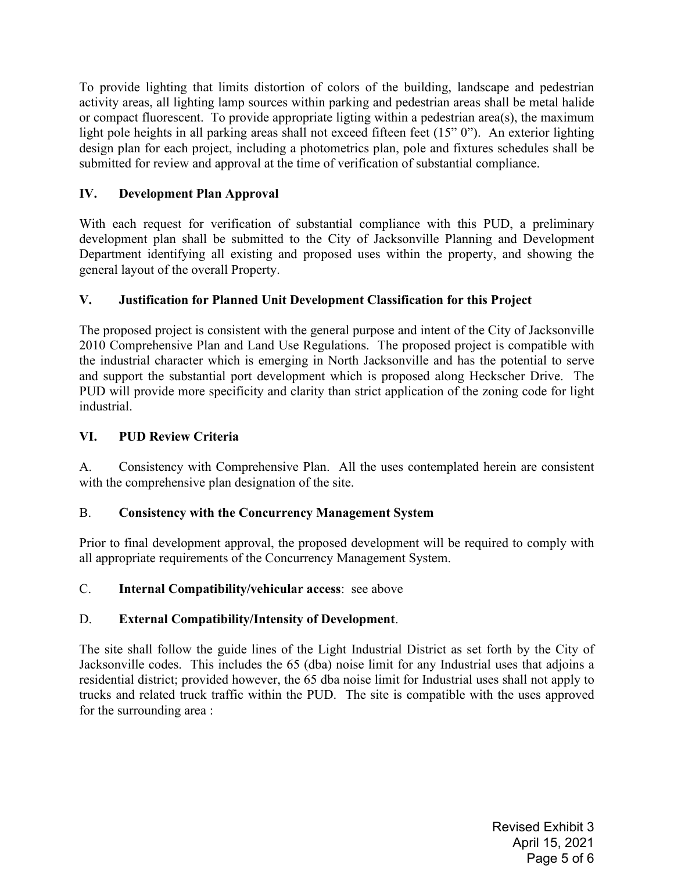To provide lighting that limits distortion of colors of the building, landscape and pedestrian activity areas, all lighting lamp sources within parking and pedestrian areas shall be metal halide or compact fluorescent. To provide appropriate ligting within a pedestrian area(s), the maximum light pole heights in all parking areas shall not exceed fifteen feet (15" 0"). An exterior lighting design plan for each project, including a photometrics plan, pole and fixtures schedules shall be submitted for review and approval at the time of verification of substantial compliance.

# **IV. Development Plan Approval**

With each request for verification of substantial compliance with this PUD, a preliminary development plan shall be submitted to the City of Jacksonville Planning and Development Department identifying all existing and proposed uses within the property, and showing the general layout of the overall Property.

# **V. Justification for Planned Unit Development Classification for this Project**

The proposed project is consistent with the general purpose and intent of the City of Jacksonville 2010 Comprehensive Plan and Land Use Regulations. The proposed project is compatible with the industrial character which is emerging in North Jacksonville and has the potential to serve and support the substantial port development which is proposed along Heckscher Drive. The PUD will provide more specificity and clarity than strict application of the zoning code for light industrial.

## **VI. PUD Review Criteria**

A. Consistency with Comprehensive Plan. All the uses contemplated herein are consistent with the comprehensive plan designation of the site.

# B. **Consistency with the Concurrency Management System**

Prior to final development approval, the proposed development will be required to comply with all appropriate requirements of the Concurrency Management System.

### C. **Internal Compatibility/vehicular access**: see above

# D. **External Compatibility/Intensity of Development**.

The site shall follow the guide lines of the Light Industrial District as set forth by the City of Jacksonville codes. This includes the 65 (dba) noise limit for any Industrial uses that adjoins a residential district; provided however, the 65 dba noise limit for Industrial uses shall not apply to trucks and related truck traffic within the PUD. The site is compatible with the uses approved for the surrounding area :